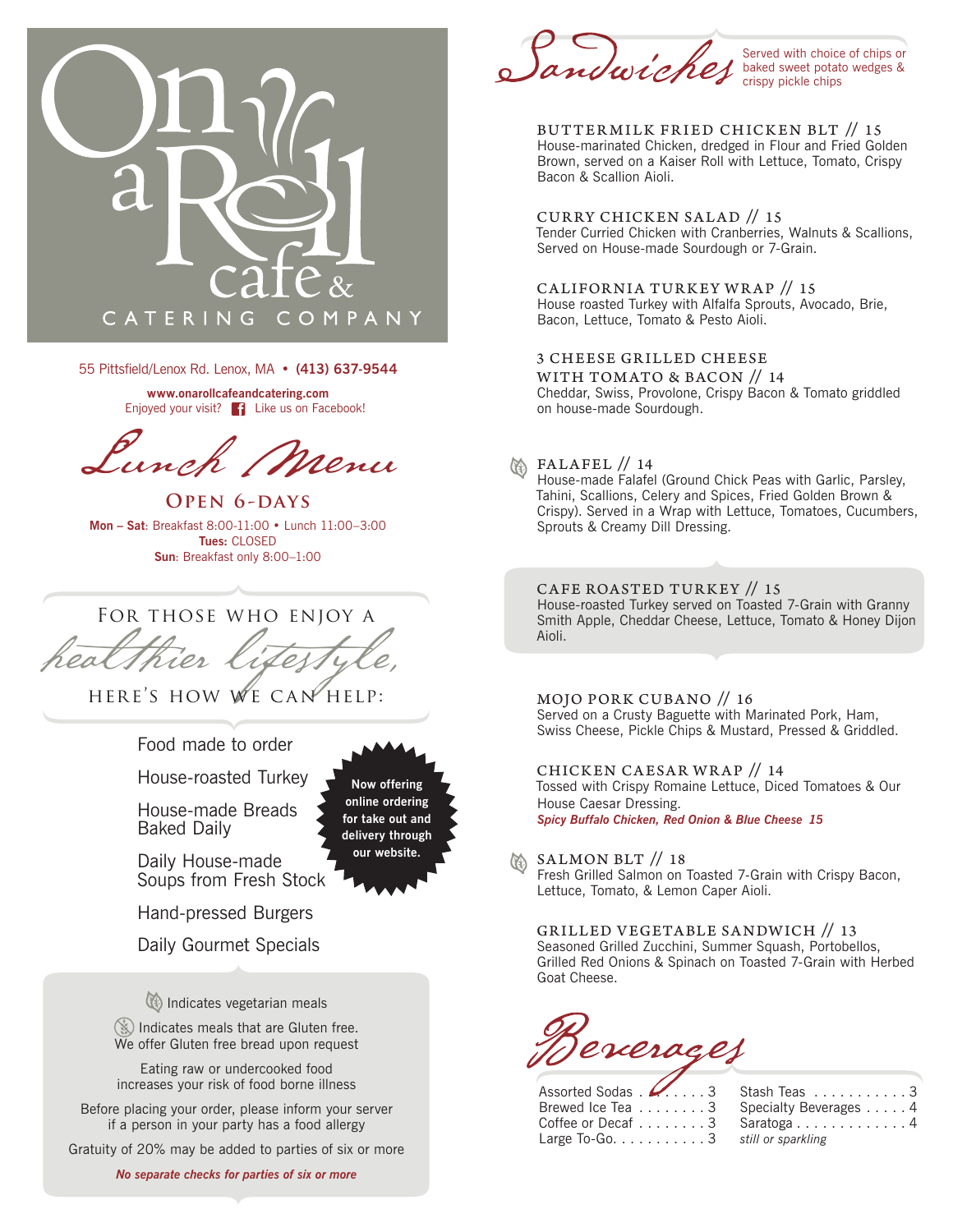

55 Pittsfield/Lenox Rd. Lenox, MA • **(413) 637-9544**

**www.onarollcafeandcatering.com** Enjoyed your visit? **Fi** Like us on Facebook!

Lunch Menu

**OPEN 6-DAYS Mon – Sat**: Breakfast 8:00-11:00 • Lunch 11:00–3:00 **Tues:** CLOSED **Sun**: Breakfast only 8:00–1:00

For those who enjoy a

HERE'S HOW WE CAN HELP:

Food made to order

House-roasted Turkey

House-made Breads Baked Daily

**Now offering online ordering for take out and delivery through our website.**

Daily House-made Soups from Fresh Stock

Hand-pressed Burgers

Daily Gourmet Specials

Indicates vegetarian meals

Indicates meals that are Gluten free. We offer Gluten free bread upon request

Eating raw or undercooked food increases your risk of food borne illness

Before placing your order, please inform your server if a person in your party has a food allergy

Gratuity of 20% may be added to parties of six or more

*No separate checks for parties of six or more*

indwickes

Served with choice of chips or baked sweet potato wedges & crispy pickle chips

BUTTER MILK FR IED CHICKEN BLT // 15 House-marinated Chicken, dredged in Flour and Fried Golden Brown, served on a Kaiser Roll with Lettuce, Tomato, Crispy Bacon & Scallion Aioli.

CURRY CHICKEN SALAD // 15 Tender Curried Chicken with Cranberries, Walnuts & Scallions, Served on House-made Sourdough or 7-Grain.

CALIFORNIA TURKEY WRAP // 15 House roasted Turkey with Alfalfa Sprouts, Avocado, Brie, Bacon, Lettuce, Tomato & Pesto Aioli.

3 CHEESE GRILLED CHEESE WITH TOMATO & BACON // 14 Cheddar, Swiss, Provolone, Crispy Bacon & Tomato griddled on house-made Sourdough.

## **M** FALAFEL // 14

House-made Falafel (Ground Chick Peas with Garlic, Parsley, Tahini, Scallions, Celery and Spices, Fried Golden Brown & Crispy). Served in a Wrap with Lettuce, Tomatoes, Cucumbers, Sprouts & Creamy Dill Dressing.

CAFE ROASTED TURKEY // 15 House-roasted Turkey served on Toasted 7-Grain with Granny Smith Apple, Cheddar Cheese, Lettuce, Tomato & Honey Dijon Aioli.

MOJO PORK CUBANO // 16 Served on a Crusty Baguette with Marinated Pork, Ham, Swiss Cheese, Pickle Chips & Mustard, Pressed & Griddled.

CHICKEN CAESAR WRAP // 14 Tossed with Crispy Romaine Lettuce, Diced Tomatoes & Our House Caesar Dressing. *Spicy Buffalo Chicken, Red Onion & Blue Cheese 15*

SALMON BLT // 18

Fresh Grilled Salmon on Toasted 7-Grain with Crispy Bacon, Lettuce, Tomato, & Lemon Caper Aioli.

GRILLED VEGETABLE SANDWICH // 13 Seasoned Grilled Zucchini, Summer Squash, Portobellos, Grilled Red Onions & Spinach on Toasted 7-Grain with Herbed Goat Cheese.

Beverages

| Assorted Sodas 3 Stash Teas  3                        |                                        |
|-------------------------------------------------------|----------------------------------------|
|                                                       | Brewed Ice Tea 3 Specialty Beverages 4 |
|                                                       | Coffee or Decaf 3 Saratoga 4           |
| Large To-Go. $\dots \dots \dots 3$ still or sparkling |                                        |